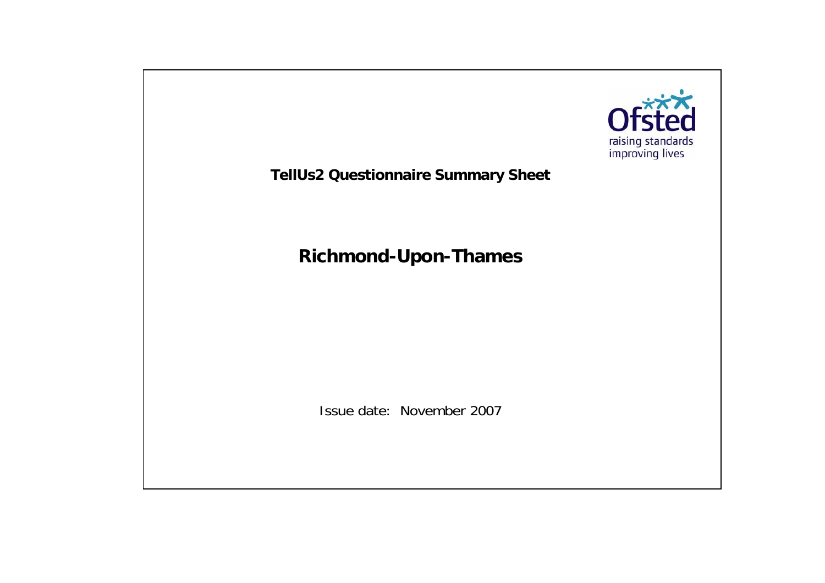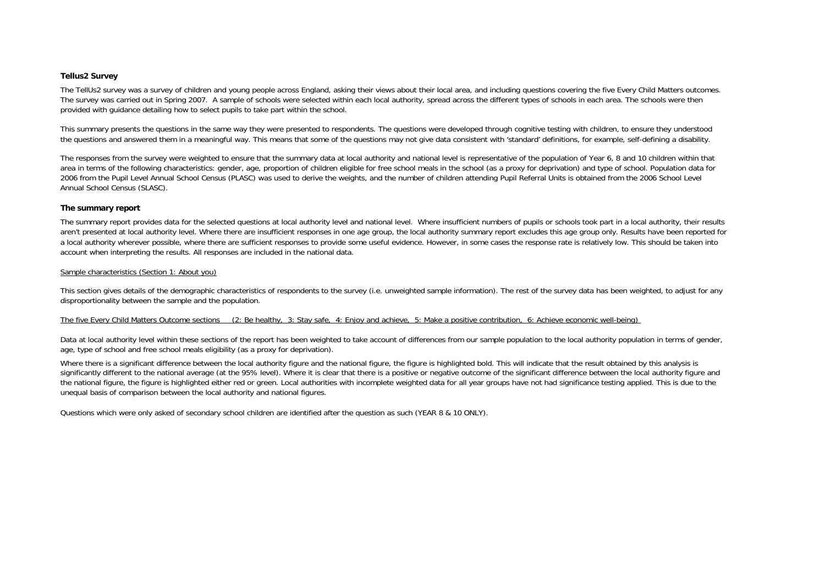### **Tellus2 Survey**

The TellUs2 survey was a survey of children and young people across England, asking their views about their local area, and including questions covering the five Every Child Matters outcomes. The survey was carried out in Spring 2007. A sample of schools were selected within each local authority, spread across the different types of schools in each area. The schools were then provided with guidance detailing how to select pupils to take part within the school.

This summary presents the questions in the same way they were presented to respondents. The questions were developed through cognitive testing with children, to ensure they understood the questions and answered them in a meaningful way. This means that some of the questions may not give data consistent with 'standard' definitions, for example, self-defining a disability.

The responses from the survey were weighted to ensure that the summary data at local authority and national level is representative of the population of Year 6, 8 and 10 children within that area in terms of the following characteristics: gender, age, proportion of children eligible for free school meals in the school (as a proxy for deprivation) and type of school. Population data for 2006 from the Pupil Level Annual School Census (PLASC) was used to derive the weights, and the number of children attending Pupil Referral Units is obtained from the 2006 School Level Annual School Census (SLASC).

### **The summary report**

The summary report provides data for the selected questions at local authority level and national level. Where insufficient numbers of pupils or schools took part in a local authority, their results aren't presented at local authority level. Where there are insufficient responses in one age group, the local authority summary report excludes this age group only. Results have been reported for a local authority wherever possible, where there are sufficient responses to provide some useful evidence. However, in some cases the response rate is relatively low. This should be taken into account when interpreting the results. All responses are included in the national data.

### Sample characteristics (Section 1: About you)

This section gives details of the demographic characteristics of respondents to the survey (i.e. unweighted sample information). The rest of the survey data has been weighted, to adjust for any disproportionality between the sample and the population.

### The five Every Child Matters Outcome sections (2: Be healthy, 3: Stay safe, 4: Enjoy and achieve, 5: Make a positive contribution, 6: Achieve economic well-being)

Data at local authority level within these sections of the report has been weighted to take account of differences from our sample population to the local authority population in terms of gender, age, type of school and free school meals eligibility (as a proxy for deprivation).

Where there is a significant difference between the local authority figure and the national figure, the figure is highlighted bold. This will indicate that the result obtained by this analysis is significantly different to the national average (at the 95% level). Where it is clear that there is a positive or negative outcome of the significant difference between the local authority figure and the national figure, the figure is highlighted either red or green. Local authorities with incomplete weighted data for all year groups have not had significance testing applied. This is due to the unequal basis of comparison between the local authority and national figures.

Questions which were only asked of secondary school children are identified after the question as such (YEAR 8 & 10 ONLY).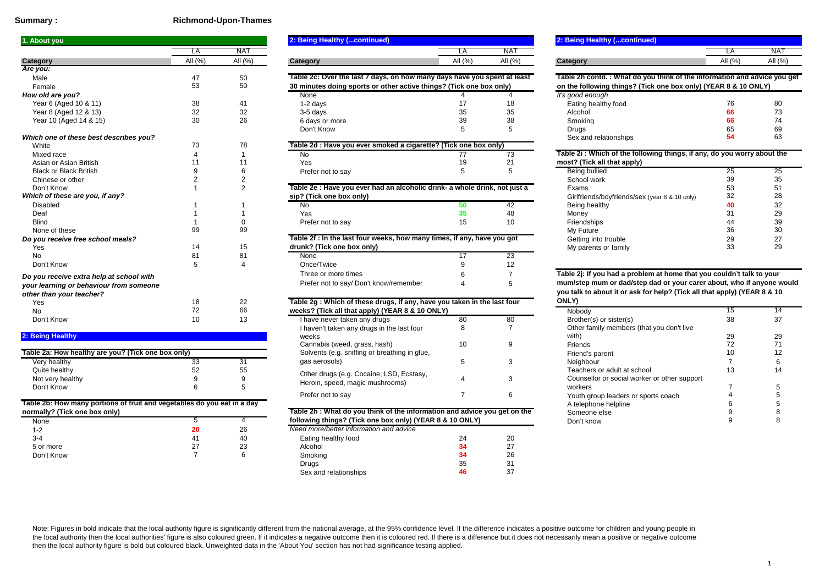### **Summary :**

### **Richmond-Upon-Thames**

| 1. About you                             |                  |            | 2: Being Healthy (continued)                                               |            |                | 2: Being Healthy (continued)                                             |            |                 |
|------------------------------------------|------------------|------------|----------------------------------------------------------------------------|------------|----------------|--------------------------------------------------------------------------|------------|-----------------|
|                                          | LA               | <b>NAT</b> |                                                                            | LA         | <b>NAT</b>     |                                                                          | LA         | NA <sup>®</sup> |
| Category                                 | All (%)          | All $(% )$ | Category                                                                   | All $(% )$ | All (%)        | Category                                                                 | All $(% )$ | All $($         |
| Are you:                                 |                  |            |                                                                            |            |                |                                                                          |            |                 |
| Male                                     | 47               | 50         | Table 2c: Over the last 7 days, on how many days have you spent at least   |            |                | Table 2h contd.: What do you think of the information and advice yo      |            |                 |
| Female                                   | 53               | 50         | 30 minutes doing sports or other active things? (Tick one box only)        |            |                | on the following things? (Tick one box only) (YEAR 8 & 10 ONLY)          |            |                 |
| How old are you?                         |                  |            | None                                                                       |            |                | It's good enough                                                         |            |                 |
| Year 6 (Aged 10 & 11)                    | 38               | 41         | $1-2$ days                                                                 |            | 18             | Eating healthy food                                                      | 76         | 80              |
| Year 8 (Aged 12 & 13)                    | 32               | 32         | 3-5 days                                                                   | 35         | 35             | Alcohol                                                                  |            | 73              |
| Year 10 (Aged 14 & 15)                   | 30               | 26         | 6 days or more                                                             | 39         | 38             | Smoking                                                                  |            | 74              |
|                                          |                  |            | Don't Know                                                                 |            |                | Drugs                                                                    | 65         | 69              |
| Which one of these best describes you?   |                  |            |                                                                            |            |                | Sex and relationships                                                    | 54         | 63              |
| White                                    | 73               | 78         | Table 2d : Have you ever smoked a cigarette? (Tick one box only)           |            |                |                                                                          |            |                 |
| Mixed race                               |                  |            | <b>No</b>                                                                  | 77         | 73             | Table 2i: Which of the following things, if any, do you worry about the  |            |                 |
| Asian or Asian British                   |                  |            | Yes                                                                        |            | 21             | most? (Tick all that apply)                                              |            |                 |
| <b>Black or Black British</b>            |                  |            | Prefer not to say                                                          | 5          |                | <b>Being bullied</b>                                                     | 25         | 25              |
| Chinese or other                         |                  |            |                                                                            |            |                | School work                                                              | 39         | 35              |
| Don't Know                               |                  |            | Table 2e : Have you ever had an alcoholic drink- a whole drink, not just a |            |                | Exams                                                                    | 53         | 51              |
| Which of these are you, if any?          |                  |            | sip? (Tick one box only)                                                   |            |                | Girlfriends/boyfriends/sex (year 8 & 10 only)                            | 32         | 28              |
| <b>Disabled</b>                          |                  |            | No.                                                                        | 50         | 42             | Being healthy                                                            |            | 32              |
| Deaf                                     |                  |            | <b>Yes</b>                                                                 | 35         | 48             | Money                                                                    | 31         | 29              |
| <b>Blind</b>                             |                  |            | Prefer not to say                                                          | 15         | 10             | Friendships                                                              | 44         | 39              |
| None of these                            | 99               | 99         |                                                                            |            |                | My Future                                                                | 36         | 30              |
| Do you receive free school meals?        |                  |            | Table 2f : In the last four weeks, how many times, if any, have you got    |            |                | Getting into trouble                                                     | 29         | 27              |
| Yes                                      | 14               | 15         | drunk? (Tick one box only)                                                 |            |                | My parents or family                                                     | 33         | 29              |
| <b>No</b>                                | 81               | 81         | None                                                                       | 17         | 23             |                                                                          |            |                 |
| Don't Know                               |                  |            | Once/Twice                                                                 |            | 12             |                                                                          |            |                 |
| Do you receive extra help at school with |                  |            | Three or more times                                                        |            |                | Table 2j: If you had a problem at home that you couldn't talk to your    |            |                 |
| your learning or behaviour from someone  |                  |            | Prefer not to say/ Don't know/remember                                     |            |                | mum/step mum or dad/step dad or your carer about, who if anyone v        |            |                 |
| other than your teacher?                 |                  |            |                                                                            |            |                | you talk to about it or ask for help? (Tick all that apply) (YEAR 8 & 10 |            |                 |
| Yes                                      | 18               | 22         | Table 2g: Which of these drugs, if any, have you taken in the last four    |            |                | ONLY)                                                                    |            |                 |
| <b>No</b>                                | 72               | 66         | weeks? (Tick all that apply) (YEAR 8 & 10 ONLY)                            |            |                | Nobody                                                                   | 15         | 14              |
| Don't Know                               | 10 <sup>10</sup> | 13         | I have never taken any drugs                                               | 80         | 80             | Brother(s) or sister(s)                                                  | 38         | 37              |
|                                          |                  |            | I houself to keep only drugs in the loot four                              |            | $\overline{ }$ | Other family members (that you don't live                                |            |                 |

|  | 2: Being Healthy |  |
|--|------------------|--|
|  |                  |  |

| Table 2a: How healthy are you? (Tick one box only) |    |    | Solvents (e.g. sniffing or breathing in glue, |  |
|----------------------------------------------------|----|----|-----------------------------------------------|--|
| Very healthy                                       | 33 | 21 | gas aerosols)                                 |  |
| Quite healthy                                      | 52 | 55 | Other drugs (e.g. Cocaine, LSD, Ecstasy,      |  |
| Not very healthy                                   |    |    |                                               |  |
| Don't Know                                         |    |    |                                               |  |
|                                                    |    |    | Heroin, speed, magic mushrooms)               |  |

### **Table 2b: How many portions of fruit and vegetables do you eat in a day normally? (Tick one box only)**

| None       | 5  |    |
|------------|----|----|
| $1 - 2$    | 20 | 26 |
| $3 - 4$    | 41 | 40 |
| 5 or more  | 27 | 23 |
| Don't Know |    | 6  |
|            |    |    |

| <b>Nout you</b>        |            |            | 2: Being Healthy (continued)                                             |            |         |                                                                      | 2: Being Healthy (continued) |            |  |  |
|------------------------|------------|------------|--------------------------------------------------------------------------|------------|---------|----------------------------------------------------------------------|------------------------------|------------|--|--|
|                        |            | NA1        |                                                                          |            | NA.     |                                                                      |                              | <b>NAT</b> |  |  |
| egory                  | All $(\%)$ | All $(\%)$ | Category                                                                 | All $(\%)$ | All (%) | Category                                                             | All (%)                      | All $(% )$ |  |  |
| you:                   |            |            |                                                                          |            |         |                                                                      |                              |            |  |  |
| Male                   |            | 50         | Table 2c: Over the last 7 days, on how many days have you spent at least |            |         | Table 2h contd.: What do you think of the information and advice you |                              |            |  |  |
| Female                 | 53         | 50         | 30 minutes doing sports or other active things? (Tick one box only)      |            |         | on the following things? (Tick one box only) (YEAR 8 & 10 ONLY)      |                              |            |  |  |
| w old are you?         |            |            | None                                                                     |            |         | It's good enough                                                     |                              |            |  |  |
| Year 6 (Aged 10 & 11)  |            | 41         | $1-2$ days                                                               |            |         | Eating healthy food                                                  |                              | 80         |  |  |
| Year 8 (Aged 12 & 13)  | 32         | 32         | 3-5 davs                                                                 | 35         | 35      | Alcohol                                                              |                              | 73         |  |  |
| Year 10 (Aged 14 & 15) | 30         | 26         | 6 days or more                                                           | 39         | 38      | Smoking                                                              |                              | 74         |  |  |
|                        |            |            | Don't Know                                                               |            |         | Druas                                                                |                              | 69         |  |  |

| <u>E NESTALINES YUU M</u> |  |  |                                                                  |                                                                            |  | <b>SEX AND TERMIONS INDS</b>                                            |  |
|---------------------------|--|--|------------------------------------------------------------------|----------------------------------------------------------------------------|--|-------------------------------------------------------------------------|--|
|                           |  |  | Table 2d : Have you ever smoked a cigarette? (Tick one box only) |                                                                            |  |                                                                         |  |
|                           |  |  |                                                                  |                                                                            |  | Table 2i: Which of the following things, if any, do you worry about the |  |
| <b>British</b>            |  |  | Yes.                                                             |                                                                            |  | most? (Tick all that apply)                                             |  |
| <b>British</b>            |  |  | Prefer not to say                                                |                                                                            |  | Being bullied                                                           |  |
|                           |  |  |                                                                  |                                                                            |  | School work                                                             |  |
|                           |  |  |                                                                  | Table 2e : Have you ever had an alcoholic drink- a whole drink, not just a |  |                                                                         |  |

#### **sip? (Tick one box only)**

| .<br>__ |               |    |                   |    |               |    |                     |
|---------|---------------|----|-------------------|----|---------------|----|---------------------|
|         |               |    | <b>INO</b>        |    | Being healthy |    | $\sim$ $\sim$<br>ےں |
|         |               |    | Yes               | 40 | Money         |    | $\sim$<br>∠ະ        |
|         |               |    | Prefer not to say |    | Friendships   | 44 | ЗS                  |
|         | $\alpha$<br>ື | ັັ |                   |    | Future<br>Mv  |    | n c<br>◡            |
|         |               |    |                   |    |               |    |                     |

| <u>VOU TECENYE ITEE SCHOOLINEAIS?</u> |  |  | Table 21. III the last four weeks, flow many times, if any, have you got |  |  | -49                                                                   | z i |          |
|---------------------------------------|--|--|--------------------------------------------------------------------------|--|--|-----------------------------------------------------------------------|-----|----------|
| Yes                                   |  |  | drunk? (Tick one box only)                                               |  |  |                                                                       |     | oc<br>∠ະ |
|                                       |  |  | None                                                                     |  |  |                                                                       |     |          |
| Don't Know                            |  |  | Once/Twice                                                               |  |  |                                                                       |     |          |
| vou receive extra help at school with |  |  | Three or more times                                                      |  |  | Table 2j: If you had a problem at home that you couldn't talk to your |     |          |
| ır learning or behaviour from someone |  |  | Prefer not to say/ Don't know/remember                                   |  |  | mum/step mum or dad/step dad or your carer about, who if anyone y     |     |          |

#### <sup>72</sup> 66 Nobody 15 <sup>14</sup> **weeks? (Tick all that apply) (YEAR 8 & 10 ONLY)** I have never taken any drugs 80 80 80 8 7Cannabis (weed, grass, hash) 10 9 Friends 72 71 Very healthy 33 31 gas aerosols) 5 3 Neighbour 7 6 Quite healthy 52 55 55 Other drugs (e.g. Cocaine, LSD, Ecstasy, Teachers or adult at school 13 14<br>Natural bothers or adult at school 13 14 5 and the contract of the contract of the contract of the contract of the contract of the contract of the contract of the contract of the contract of the contract of the contract of the contract of the contract of the cont Solvents (e.g. sniffing or breathing in glue, gas aerosols) I haven't taken any drugs in the last four weeks**Table 2g : Which of these drugs, if any, have you taken in the last four**

| $\epsilon$ zb. How many portions of fruit and vegetables do you eat in a day. |  |    |                                         |                                                                          |    | A telephone neipline | v |  |
|-------------------------------------------------------------------------------|--|----|-----------------------------------------|--------------------------------------------------------------------------|----|----------------------|---|--|
| ally? (Tick one box only)                                                     |  |    |                                         | Table 2h: What do you think of the information and advice you get on the |    |                      |   |  |
| one                                                                           |  |    |                                         | following things? (Tick one box only) (YEAR 8 & 10 ONLY)                 |    |                      |   |  |
|                                                                               |  | 26 | Need more/better information and advice |                                                                          |    |                      |   |  |
|                                                                               |  | 40 | Eating healthy food                     | -4                                                                       | 20 |                      |   |  |
| or more                                                                       |  | 23 | Alcohol                                 |                                                                          |    |                      |   |  |
| on't Know                                                                     |  |    | Smoking                                 |                                                                          | 26 |                      |   |  |
|                                                                               |  |    | Drugs                                   |                                                                          |    |                      |   |  |
|                                                                               |  |    | Sex and relationships                   |                                                                          |    |                      |   |  |
|                                                                               |  |    |                                         |                                                                          |    |                      |   |  |

| 2: Being Healthy (continued) |  |
|------------------------------|--|
|                              |  |
| Category                     |  |

**Table 2h contd. : What do you think of the information and advice you get on the following things? (Tick one box only) (YEAR 8 & 10 ONLY)**

|      |    |    | It's good enough      |    |    |
|------|----|----|-----------------------|----|----|
|      |    | 18 | Eating healthy food   | 76 | 80 |
|      | 35 | 35 | Alcohol               | 66 | 73 |
| more | 39 | 38 | Smoking               | 66 | 74 |
| W    |    |    | Drugs                 | 65 | 69 |
|      |    |    | Sex and relationships | 54 | 63 |

| Table 2i : Which of the following things, if any, do you worry about the |  |  |  |  |
|--------------------------------------------------------------------------|--|--|--|--|
| most? (Tick all that apply)                                              |  |  |  |  |

| .                                                                          |    |                      |                                               |    |    |
|----------------------------------------------------------------------------|----|----------------------|-----------------------------------------------|----|----|
| Prefer not to say                                                          |    |                      | Being bullied                                 | 25 | 25 |
|                                                                            |    |                      | School work                                   | 39 | 35 |
| Table 2e : Have you ever had an alcoholic drink- a whole drink, not just a |    |                      | Exams                                         | 53 | 51 |
| sip? (Tick one box only)                                                   |    |                      | Girlfriends/boyfriends/sex (year 8 & 10 only) | 32 | 28 |
| No                                                                         |    | 42                   | Being healthy                                 | 40 | 32 |
| Yes                                                                        | 35 | 48                   | Money                                         | 31 | 29 |
| Prefer not to say                                                          | 15 | 10                   | Friendships                                   | 44 | 39 |
|                                                                            |    |                      | My Future                                     | 36 | 30 |
| Table 2f : In the last four weeks, how many times, if any, have you got    |    | Getting into trouble | 29                                            | 27 |    |
| drunk? (Tick one box only)                                                 |    |                      |                                               | 33 | 29 |
|                                                                            |    |                      |                                               |    |    |

## **Table 2j: If you had a problem at home that you couldn't talk to your mum/step mum or dad/step dad or your carer about, who if anyone would you talk to about it or ask for help? (Tick all that apply) (YEAR 8 & 10 ONLY)**

|    |                                                                                                       | . <i>.</i>                                                                                                                                                |    |                                              |  |  |
|----|-------------------------------------------------------------------------------------------------------|-----------------------------------------------------------------------------------------------------------------------------------------------------------|----|----------------------------------------------|--|--|
|    |                                                                                                       | Nobody                                                                                                                                                    |    |                                              |  |  |
| 80 | 80                                                                                                    | Brother(s) or sister(s)                                                                                                                                   | 38 | 37                                           |  |  |
|    |                                                                                                       | Other family members (that you don't live                                                                                                                 |    |                                              |  |  |
|    |                                                                                                       | with)                                                                                                                                                     | 29 | 29                                           |  |  |
| 10 |                                                                                                       | <b>Friends</b>                                                                                                                                            | 72 |                                              |  |  |
|    |                                                                                                       | Friend's parent                                                                                                                                           |    |                                              |  |  |
|    |                                                                                                       | Neighbour                                                                                                                                                 |    |                                              |  |  |
|    |                                                                                                       | Teachers or adult at school                                                                                                                               | 13 | 14                                           |  |  |
|    |                                                                                                       |                                                                                                                                                           |    |                                              |  |  |
|    |                                                                                                       | workers                                                                                                                                                   |    |                                              |  |  |
|    |                                                                                                       | Youth group leaders or sports coach                                                                                                                       |    |                                              |  |  |
|    |                                                                                                       | A telephone helpline                                                                                                                                      |    |                                              |  |  |
|    |                                                                                                       | Someone else                                                                                                                                              |    |                                              |  |  |
|    |                                                                                                       | Don't know                                                                                                                                                |    |                                              |  |  |
|    | eks? (Tick all that apply) (YEAR 8 & 10 ONLY)<br>owing things? (Tick one box only) (YEAR 8 & 10 ONLY) | $\mathfrak{g}$ . Which of these drugs, if any, have you taken in the last four<br>lle 2h : What do you think of the information and advice you get on the |    | Counsellor or social worker or other support |  |  |

Note: Figures in bold indicate that the local authority figure is significantly different from the national average, at the 95% confidence level. If the difference indicates a positive outcome for children and young people the local authority then the local authorities' figure is also coloured green. If it indicates a negative outcome then it is coloured red. If there is a difference but it does not necessarily mean a positive or negative ou then the local authority figure is bold but coloured black. Unweighted data in the 'About You' section has not had significance testing applied.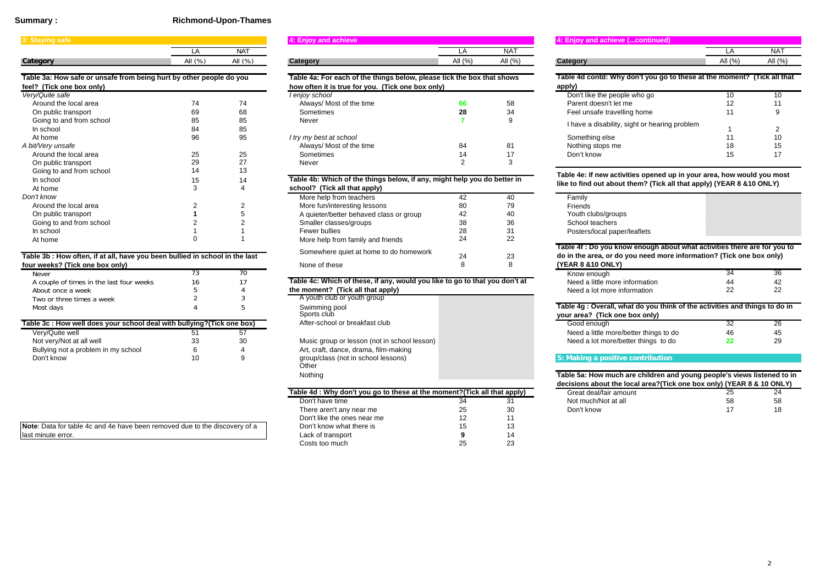### **Summary :**

## **Richmond-Upon-Thames**

| 3: Staying safe                                                     |         |            | 4: Enjoy and achieve                                                     |            |            | 4: Enjoy and achieve (continued)                                      |           |           |
|---------------------------------------------------------------------|---------|------------|--------------------------------------------------------------------------|------------|------------|-----------------------------------------------------------------------|-----------|-----------|
|                                                                     |         | <b>NAT</b> |                                                                          |            | <b>NAT</b> |                                                                       | LA        | <b>NA</b> |
| Category                                                            | All (%) | All (%)    | Category                                                                 | All $(% )$ | All $(\%)$ | Category                                                              | All $(%)$ | All (     |
| Table 3a: How safe or unsafe from being hurt by other people do you |         |            | Table 4a: For each of the things below, please tick the box that shows   |            |            | Table 4d contd: Why don't you go to these at the moment? (Tick all    |           |           |
| feel? (Tick one box only)                                           |         |            | how often it is true for you. (Tick one box only)                        |            |            | apply)                                                                |           |           |
| Very/Quite safe                                                     |         |            | I enjoy school                                                           |            |            | Don't like the people who go                                          | 10        | 10        |
| Around the local area                                               | 74      | 74         | Always/ Most of the time                                                 | 66         | 58         | Parent doesn't let me                                                 | 12        | 11        |
| On public transport                                                 | 69      | 68         | Sometimes                                                                | 28         | 34         | Feel unsafe travelling home                                           | 11        |           |
| Going to and from school                                            | 85      | 85         | Never                                                                    |            | 9          | I have a disability, sight or hearing problem                         |           |           |
| In school                                                           | 84      | 85         |                                                                          |            |            |                                                                       |           |           |
| At home                                                             | 96      | 95         | I try my best at school                                                  |            |            | Something else                                                        |           | 10        |
| A bit/Very unsafe                                                   |         |            | Always/ Most of the time                                                 | 84         | 81         | Nothing stops me                                                      | 18        | 15        |
| Around the local area                                               | 25      | 25         | Sometimes                                                                |            | 17         | Don't know                                                            | 15        | 17        |
| On public transport                                                 | 29      | 27         | Never                                                                    |            | 3          |                                                                       |           |           |
| Going to and from school                                            |         | 13         |                                                                          |            |            | Table 4e: If new activities opened up in your area, how would you mo  |           |           |
| In school                                                           |         | 14         | Table 4b: Which of the things below, if any, might help you do better in |            |            |                                                                       |           |           |
| At home                                                             |         |            | school? (Tick all that apply)                                            |            |            | like to find out about them? (Tick all that apply) (YEAR 8 & 10 ONLY) |           |           |
| Don't know                                                          |         |            | More help from teachers                                                  | 42         | 40         | Family                                                                |           |           |
| Around the local area                                               |         |            | More fun/interesting lessons                                             |            | 79         | Friends                                                               |           |           |
| On public transport                                                 |         |            | A quieter/better behaved class or group                                  | 42         | 40         | Youth clubs/groups                                                    |           |           |
| Going to and from school                                            |         |            | Smaller classes/groups                                                   | 38         | 36         | School teachers                                                       |           |           |
| In school                                                           |         |            | Fewer bullies                                                            | 28         | 31         | Posters/local paper/leaflets                                          |           |           |
| At home                                                             |         |            | More help from family and friends                                        | 24         | 22         |                                                                       |           |           |

### **Table 3b : How often, if at all, have you been bullied in school in the last four weeks? (Tick one box only)**

|                                          |    | .                              |
|------------------------------------------|----|--------------------------------|
| Never                                    |    |                                |
| A couple of times in the last four weeks | 16 | Table 4c: Which of these, if a |
| About once a week                        |    | the moment? (Tick all that an  |
| Two or three times a week                |    | A youth club or youth group    |
| Most days                                |    | Swimming pool<br>Sports club   |
|                                          |    |                                |

| Table 3c : How well does your school deal with bullying? (Tick one box) |  |  | After-school or breakfast club               | Good enough                            |  |
|-------------------------------------------------------------------------|--|--|----------------------------------------------|----------------------------------------|--|
| Very/Quite well                                                         |  |  |                                              | Need a little more/better things to do |  |
| Not verv/Not at all well                                                |  |  | Music group or lesson (not in school lesson) | Need a lot more/better things to do    |  |
| Bullying not a problem in my school                                     |  |  | Art, craft, dance, drama, film-making        |                                        |  |
| Don't know                                                              |  |  | group/class (not in school lessons)          |                                        |  |

| Note: Data for table 4c and 4e have been removed due to the discovery of a |
|----------------------------------------------------------------------------|
| last minute error.                                                         |

|                                                                   |            |            | $\cdots$ = $\cdots$ , $\cdots$ and ability $\cdots$                    |            |            |                                                                       |            |            |  |  |
|-------------------------------------------------------------------|------------|------------|------------------------------------------------------------------------|------------|------------|-----------------------------------------------------------------------|------------|------------|--|--|
|                                                                   |            | <b>NAT</b> |                                                                        |            | <b>NAT</b> |                                                                       |            | <b>NAT</b> |  |  |
| tegory                                                            | All $(\%)$ | All $(\%)$ | Category                                                               | All $(\%)$ | All $(\%)$ | Category                                                              | All $(\%)$ | All $(% )$ |  |  |
| lle 3a: How safe or unsafe from being hurt by other people do you |            |            | Table 4a: For each of the things below, please tick the box that shows |            |            | Table 4d contd: Why don't you go to these at the moment? (Tick all th |            |            |  |  |
| 1? (Tick one box only)                                            |            |            | how often it is true for you. (Tick one box only)                      |            |            | apply)                                                                |            |            |  |  |
| y/Quite safe                                                      |            |            | I enjoy school                                                         |            |            | Don't like the people who go                                          |            | 10         |  |  |
| Around the local area                                             | 74         | 74         | Always/ Most of the time                                               | 66         | 58         | Parent doesn't let me                                                 |            | 11         |  |  |
| On public transport                                               |            | 68         | Sometimes                                                              |            | 34         | Feel unsafe travelling home                                           |            |            |  |  |
| Going to and from school                                          | 85         | 85         | Never                                                                  |            |            |                                                                       |            |            |  |  |
| In school                                                         | 84         | 85         |                                                                        |            |            | I have a disability, sight or hearing problem                         |            |            |  |  |
| At home                                                           | 96         | 95         | I try my best at school                                                |            |            | Something else                                                        |            | 10         |  |  |
| it/Very unsafe                                                    |            |            | Always/ Most of the time                                               | 84         | 81         | Nothing stops me                                                      |            | 15         |  |  |
| Around the local area                                             | 25         | 25         | Sometimes                                                              |            |            | Don't know                                                            |            | 17         |  |  |
| On public transport                                               |            | 27         | Never                                                                  |            |            |                                                                       |            |            |  |  |
| Coing to and from echool                                          |            |            |                                                                        |            |            |                                                                       |            |            |  |  |

## **Table 4b: Which of the things below, if any, might help you do better in**

|                                                                   |  |  | school? (Tick all that apply)           |    |    |
|-------------------------------------------------------------------|--|--|-----------------------------------------|----|----|
|                                                                   |  |  | More help from teachers                 | 42 | 40 |
| the local area                                                    |  |  | More fun/interesting lessons            | 80 | 79 |
| lic transport                                                     |  |  | A quieter/better behaved class or group | 42 | 40 |
| o and from school                                                 |  |  | Smaller classes/groups                  | 38 | 36 |
| οl                                                                |  |  | Fewer bullies                           | 28 | 31 |
|                                                                   |  |  | More help from family and friends       | 24 | 22 |
| How often, if at all, have you been bullied in school in the last |  |  | Somewhere quiet at home to do homework  | 24 | 23 |
|                                                                   |  |  |                                         |    |    |
| s? (Tick one box only)                                            |  |  | None of these                           |    |    |

#### A couple of times in the last four weeks 16 17 **Table 4c: Which of these, if any, would you like to go to that you don't at** Need a little more information 44 44 44 44 42 42 k and the moment? (Tick all that apply) the moment of the moment of the moment of the moment of the moment of th

| A youth club or youth group    |  |
|--------------------------------|--|
| Swimming pool                  |  |
| Sports club                    |  |
| After-school or breakfast club |  |
|                                |  |

Other Nothing Art, craft, dance, drama, film-making group/class (not in school lessons)

|                                                                           |    |     | decisions about the local area ?! HCK one box only) (YEAR 8 & 10 ON |    |    |
|---------------------------------------------------------------------------|----|-----|---------------------------------------------------------------------|----|----|
| Table 4d : Why don't you go to these at the moment? (Tick all that apply) |    |     | Great deal/fair amount                                              | 25 | 24 |
| Don't have time                                                           | 34 | -31 | Not much/Not at all                                                 | 58 | 58 |
| There aren't any near me                                                  | 25 | 30  | Don't know                                                          |    | 18 |
| Don't like the ones near me                                               | 12 |     |                                                                     |    |    |
| Don't know what there is                                                  | 15 |     |                                                                     |    |    |
| Lack of transport                                                         |    | 14  |                                                                     |    |    |
| Costs too much.                                                           | 25 | 23  |                                                                     |    |    |

## **4: Enjoy and achieve (...continued)**

| А   | N              |             |                           |
|-----|----------------|-------------|---------------------------|
| (%) | $\omega$<br>мı | (0)<br>-311 | 10/<br>ΛH<br>$\mathbf{u}$ |

## **Table 4d contd: Why don't you go to these at the moment? (Tick all that apply)**

| . <i>.</i>                                    |    |    |  |
|-----------------------------------------------|----|----|--|
| Don't like the people who go                  | 10 | 10 |  |
| Parent doesn't let me                         | 12 | 11 |  |
| Feel unsafe travelling home                   | 11 | 9  |  |
| I have a disability, sight or hearing problem | 1  | 2  |  |
| Something else                                | 11 | 10 |  |
| Nothing stops me                              | 18 | 15 |  |
| Don't know                                    | 15 | 17 |  |
|                                               |    |    |  |

## **Table 4e: If new activities opened up in your area, how would you most like to find out about them? (Tick all that apply) (YEAR 8 &10 ONLY)**

|   | Family                       |  |
|---|------------------------------|--|
| 9 | Friends                      |  |
|   | Youth clubs/groups           |  |
| 6 | School teachers              |  |
|   | Posters/local paper/leaflets |  |
|   |                              |  |

### **Table 4f : Do you know enough about what activities there are for you to do in the area, or do you need more information? (Tick one box only) (YEAR 8 &10 ONLY)**

| <b>CRS: LIIUR UIIG DUA UIIIYI</b>    |  | <b>TIOTE OF LIGSE</b>                                                       |  | <u>ULANO OXIU VINLII</u>       |           |  |
|--------------------------------------|--|-----------------------------------------------------------------------------|--|--------------------------------|-----------|--|
|                                      |  |                                                                             |  | Know enough                    |           |  |
| uple of times in the last four weeks |  | Table 4c: Which of these, if any, would you like to go to that you don't at |  | Need a little more information |           |  |
| t once a week                        |  | the moment? (Tick all that apply)                                           |  | Need a lot more information    | <u>__</u> |  |

## **Table 4g : Overall, what do you think of the activities and things to do in**

|                   | your area? (Tick one box only)         |    |    |
|-------------------|----------------------------------------|----|----|
|                   | Good enough                            |    | zc |
|                   | Need a little more/better things to do | 46 | 45 |
| า school lesson). | Need a lot more/better things to do    |    |    |
|                   |                                        |    |    |

## **5: Making a positive contribution**

| Table 5a: How much are children and young people's views listened to in |    |    |
|-------------------------------------------------------------------------|----|----|
| decisions about the local area?(Tick one box only) (YEAR 8 & 10 ONLY)   |    |    |
| Great deal/fair amount                                                  | 25 | 24 |

| Great deal/fair amount | 25 | 24 |
|------------------------|----|----|
| Not much/Not at all    | 58 | 58 |
| Don't know             |    | 18 |